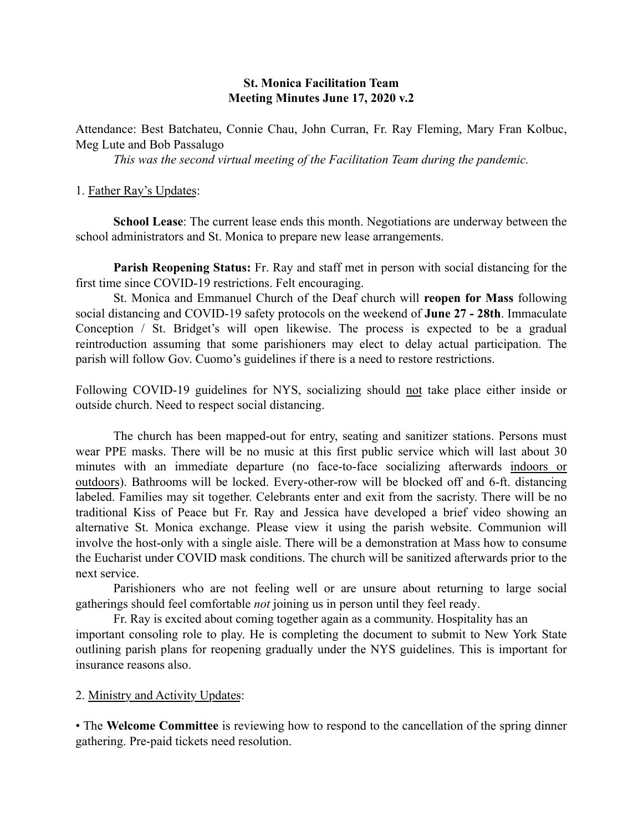## St. Monica Facilitation Team Meeting Minutes June 17, 2020 v.2

Attendance: Best Batchateu, Connie Chau, John Curran, Fr. Ray Fleming, Mary Fran Kolbuc, Meg Lute and Bob Passalugo

*This was the second virtual meeting of the Facilitation Team during the pandemic.* 

### 1. Father Ray's Updates:

School Lease: The current lease ends this month. Negotiations are underway between the school administrators and St. Monica to prepare new lease arrangements.

Parish Reopening Status: Fr. Ray and staff met in person with social distancing for the first time since COVID-19 restrictions. Felt encouraging.

St. Monica and Emmanuel Church of the Deaf church will reopen for Mass following social distancing and COVID-19 safety protocols on the weekend of June 27 - 28th. Immaculate Conception / St. Bridget's will open likewise. The process is expected to be a gradual reintroduction assuming that some parishioners may elect to delay actual participation. The parish will follow Gov. Cuomo's guidelines if there is a need to restore restrictions.

Following COVID-19 guidelines for NYS, socializing should not take place either inside or outside church. Need to respect social distancing.

The church has been mapped-out for entry, seating and sanitizer stations. Persons must wear PPE masks. There will be no music at this first public service which will last about 30 minutes with an immediate departure (no face-to-face socializing afterwards indoors or outdoors). Bathrooms will be locked. Every-other-row will be blocked off and 6-ft. distancing labeled. Families may sit together. Celebrants enter and exit from the sacristy. There will be no traditional Kiss of Peace but Fr. Ray and Jessica have developed a brief video showing an alternative St. Monica exchange. Please view it using the parish website. Communion will involve the host-only with a single aisle. There will be a demonstration at Mass how to consume the Eucharist under COVID mask conditions. The church will be sanitized afterwards prior to the next service.

Parishioners who are not feeling well or are unsure about returning to large social gatherings should feel comfortable *not* joining us in person until they feel ready.

Fr. Ray is excited about coming together again as a community. Hospitality has an important consoling role to play. He is completing the document to submit to New York State outlining parish plans for reopening gradually under the NYS guidelines. This is important for insurance reasons also.

### 2. Ministry and Activity Updates:

• The Welcome Committee is reviewing how to respond to the cancellation of the spring dinner gathering. Pre-paid tickets need resolution.